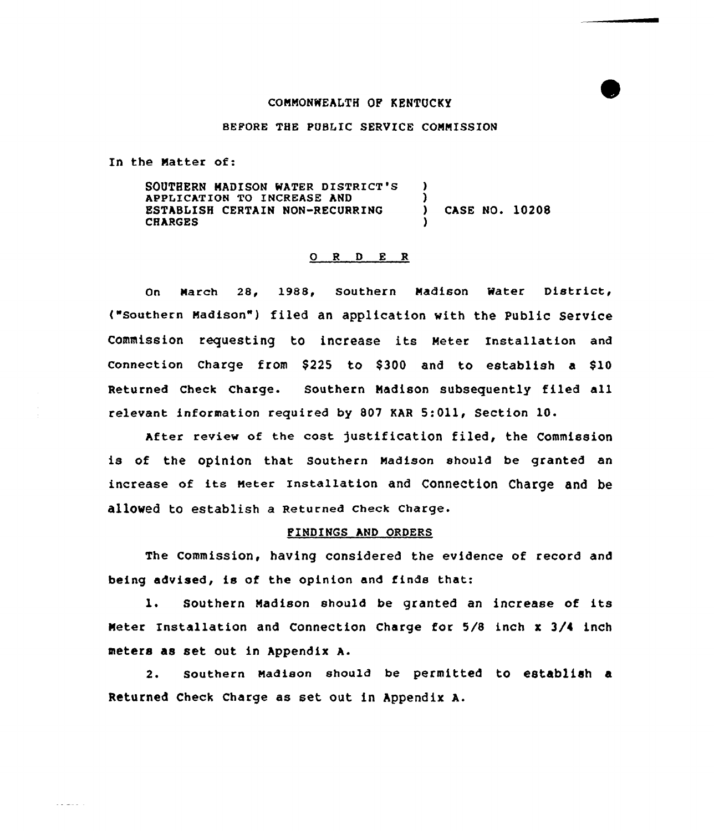#### COMMONWEALTH OF KENTUCKY

## BEPORE THE POBLIC SERVICE COMMISSION

In the Natter of:

 $\omega$  is a second  $\omega$  .

SOUTHERN MADISON MATER DISTRICT'8 APPLICATION TO INCREASE AND ESTABLISH CERTAIN NON-RECURRING **CHARGES** ) )<br>) ) CASE NO. 10208 )

# 0 <sup>R</sup> <sup>D</sup> E <sup>R</sup>

On March 28, 1988, Southern Madison Water District, ("Southern Madison") filed an application with the Public Service commission requesting to increase its Meter Installation and connection Charge from  $$225$  to  $$300$  and to establish a  $$10$ Returned Check Charge. Southern Madison subsequently filed all relevant information required by 807 KAR 5:Oll, Section 10.

After review of the cost justification filed, the Commission is of the opinion that southern Madison should be granted an increase of its Meter Installation and connection charge and be allowed to establish a Returned check charge.

## FINDINGS AND ORDERS

The Commission, having considered the evidence of record and being advised, is of the opinion and finds that:

l. Southern Madison should be granted an increase of its Meter Installation and Connection Charge for 5/8 inch x 3/4 inch meters as set out in Appendix A.

2. southern Madison should be permitted to establish a Returned Check Charge as set out in hppendix A.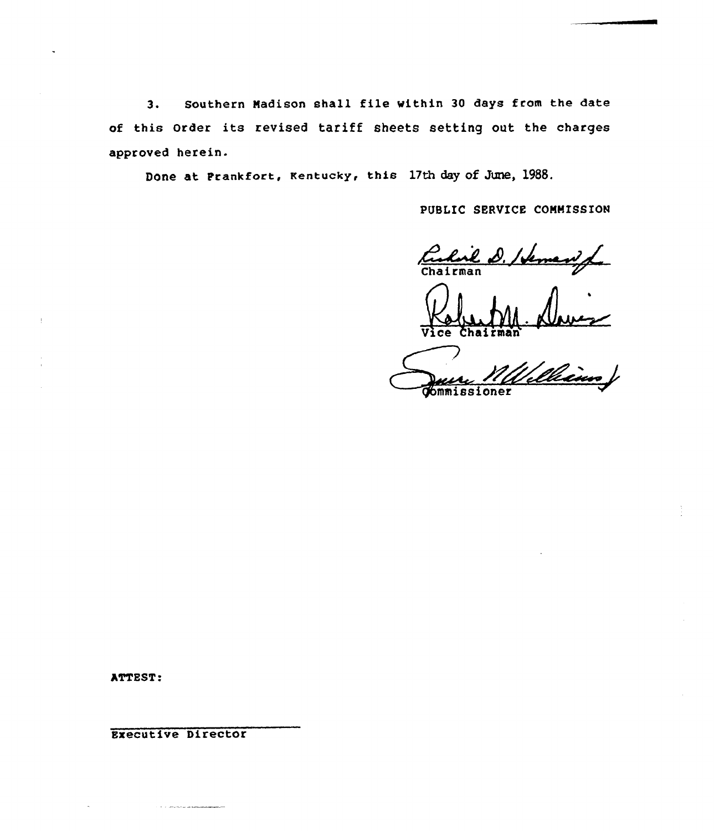3. Southern Madison shall file within <sup>30</sup> days from the date of this Order its revised tariff sheets setting out the charges approved herein.

Done at Frankfort, kentucky, this 17th day of June, 1988.

PUBLIC SERVICE COMMISSION

Culail D. Hemanife

Chairman

rman<br>M*Wellians* 

ATTEST:

**Executive Director**